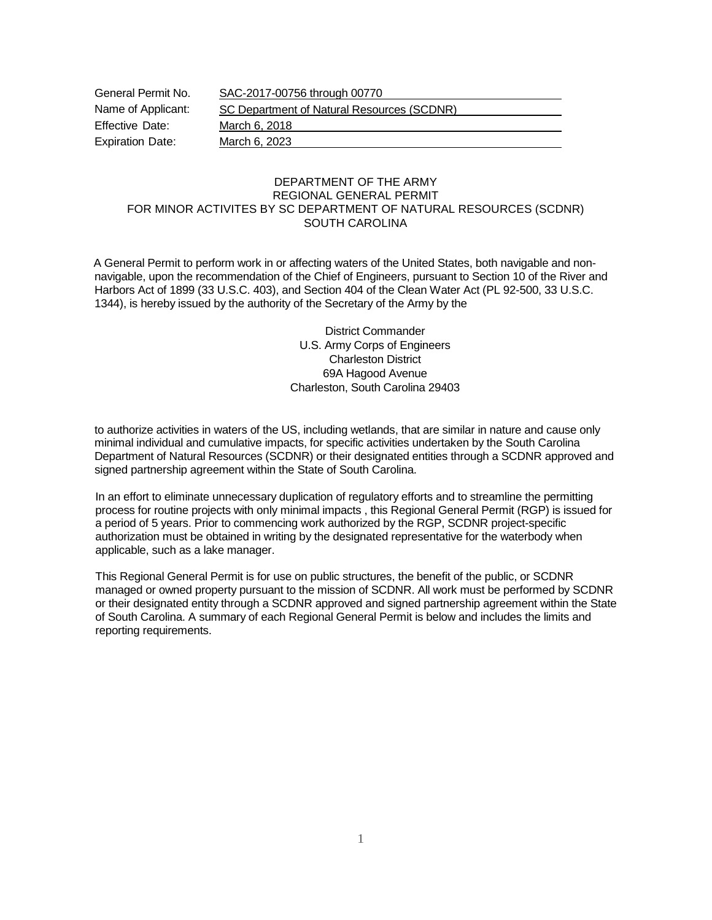| General Permit No.      | SAC-2017-00756 through 00770               |  |
|-------------------------|--------------------------------------------|--|
| Name of Applicant:      | SC Department of Natural Resources (SCDNR) |  |
| <b>Effective Date:</b>  | March 6, 2018                              |  |
| <b>Expiration Date:</b> | March 6, 2023                              |  |

## DEPARTMENT OF THE ARMY REGIONAL GENERAL PERMIT FOR MINOR ACTIVITES BY SC DEPARTMENT OF NATURAL RESOURCES (SCDNR) SOUTH CAROLINA

A General Permit to perform work in or affecting waters of the United States, both navigable and nonnavigable, upon the recommendation of the Chief of Engineers, pursuant to Section 10 of the River and Harbors Act of 1899 (33 U.S.C. 403), and Section 404 of the Clean Water Act (PL 92-500, 33 U.S.C. 1344), is hereby issued by the authority of the Secretary of the Army by the

> District Commander U.S. Army Corps of Engineers Charleston District 69A Hagood Avenue Charleston, South Carolina 29403

to authorize activities in waters of the US, including wetlands, that are similar in nature and cause only minimal individual and cumulative impacts, for specific activities undertaken by the South Carolina Department of Natural Resources (SCDNR) or their designated entities through a SCDNR approved and signed partnership agreement within the State of South Carolina.

In an effort to eliminate unnecessary duplication of regulatory efforts and to streamline the permitting process for routine projects with only minimal impacts , this Regional General Permit (RGP) is issued for a period of 5 years. Prior to commencing work authorized by the RGP, SCDNR project-specific authorization must be obtained in writing by the designated representative for the waterbody when applicable, such as a lake manager.

This Regional General Permit is for use on public structures, the benefit of the public, or SCDNR managed or owned property pursuant to the mission of SCDNR. All work must be performed by SCDNR or their designated entity through a SCDNR approved and signed partnership agreement within the State of South Carolina. A summary of each Regional General Permit is below and includes the limits and reporting requirements.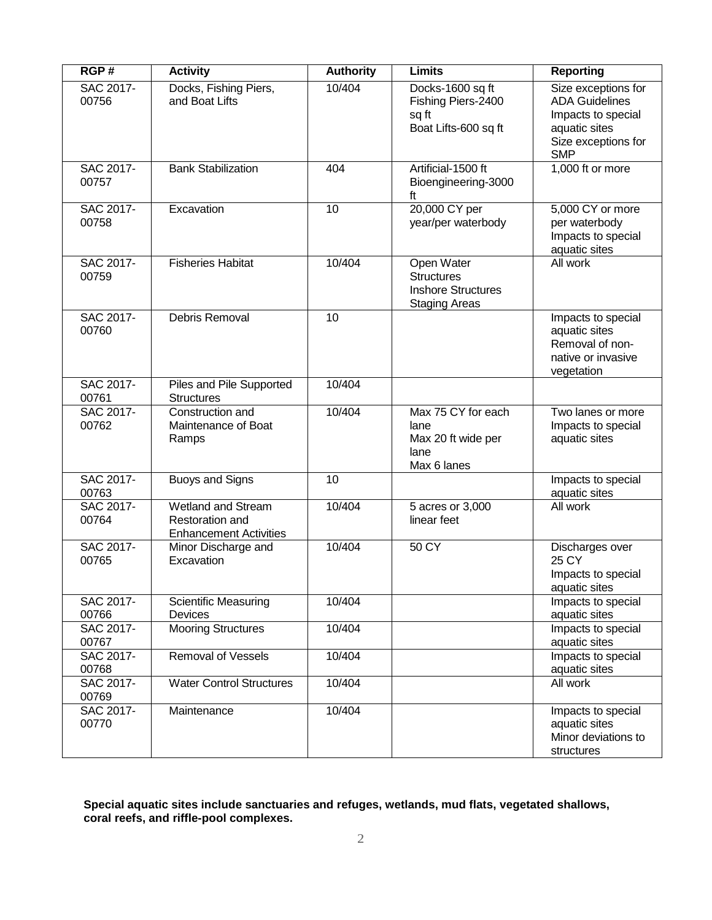| RGP#               | <b>Activity</b>                                                               | <b>Authority</b> | <b>Limits</b>                                                                        | <b>Reporting</b>                                                                                                         |
|--------------------|-------------------------------------------------------------------------------|------------------|--------------------------------------------------------------------------------------|--------------------------------------------------------------------------------------------------------------------------|
| SAC 2017-<br>00756 | Docks, Fishing Piers,<br>and Boat Lifts                                       | 10/404           | Docks-1600 sq ft<br>Fishing Piers-2400<br>sq ft<br>Boat Lifts-600 sq ft              | Size exceptions for<br><b>ADA Guidelines</b><br>Impacts to special<br>aquatic sites<br>Size exceptions for<br><b>SMP</b> |
| SAC 2017-<br>00757 | <b>Bank Stabilization</b>                                                     | 404              | Artificial-1500 ft<br>Bioengineering-3000<br>ft                                      | 1,000 ft or more                                                                                                         |
| SAC 2017-<br>00758 | Excavation                                                                    | 10               | 20,000 CY per<br>year/per waterbody                                                  | 5,000 CY or more<br>per waterbody<br>Impacts to special<br>aquatic sites                                                 |
| SAC 2017-<br>00759 | <b>Fisheries Habitat</b>                                                      | 10/404           | Open Water<br><b>Structures</b><br><b>Inshore Structures</b><br><b>Staging Areas</b> | All work                                                                                                                 |
| SAC 2017-<br>00760 | Debris Removal                                                                | 10               |                                                                                      | Impacts to special<br>aquatic sites<br>Removal of non-<br>native or invasive<br>vegetation                               |
| SAC 2017-<br>00761 | Piles and Pile Supported<br><b>Structures</b>                                 | 10/404           |                                                                                      |                                                                                                                          |
| SAC 2017-<br>00762 | Construction and<br>Maintenance of Boat<br>Ramps                              | 10/404           | Max 75 CY for each<br>lane<br>Max 20 ft wide per<br>lane<br>Max 6 lanes              | Two lanes or more<br>Impacts to special<br>aquatic sites                                                                 |
| SAC 2017-<br>00763 | <b>Buoys and Signs</b>                                                        | 10               |                                                                                      | Impacts to special<br>aquatic sites                                                                                      |
| SAC 2017-<br>00764 | Wetland and Stream<br><b>Restoration and</b><br><b>Enhancement Activities</b> | 10/404           | 5 acres or 3,000<br>linear feet                                                      | All work                                                                                                                 |
| SAC 2017-<br>00765 | Minor Discharge and<br>Excavation                                             | 10/404           | 50 CY                                                                                | Discharges over<br>25 CY<br>Impacts to special<br>aquatic sites                                                          |
| SAC 2017-<br>00766 | <b>Scientific Measuring</b><br>Devices                                        | 10/404           |                                                                                      | Impacts to special<br>aquatic sites                                                                                      |
| SAC 2017-<br>00767 | <b>Mooring Structures</b>                                                     | 10/404           |                                                                                      | Impacts to special<br>aquatic sites                                                                                      |
| SAC 2017-<br>00768 | <b>Removal of Vessels</b>                                                     | 10/404           |                                                                                      | Impacts to special<br>aquatic sites                                                                                      |
| SAC 2017-<br>00769 | <b>Water Control Structures</b>                                               | 10/404           |                                                                                      | All work                                                                                                                 |
| SAC 2017-<br>00770 | Maintenance                                                                   | 10/404           |                                                                                      | Impacts to special<br>aquatic sites<br>Minor deviations to<br>structures                                                 |

**Special aquatic sites include sanctuaries and refuges, wetlands, mud flats, vegetated shallows, coral reefs, and riffle-pool complexes.**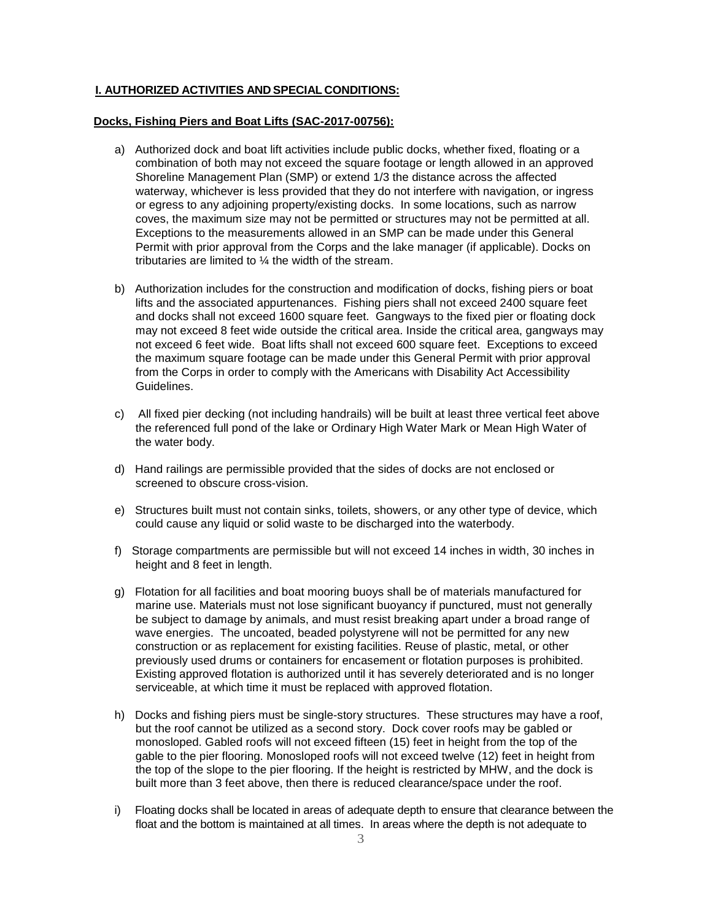## **I. AUTHORIZED ACTIVITIES AND SPECIAL CONDITIONS:**

## **Docks, Fishing Piers and Boat Lifts (SAC-2017-00756):**

- a) Authorized dock and boat lift activities include public docks, whether fixed, floating or a combination of both may not exceed the square footage or length allowed in an approved Shoreline Management Plan (SMP) or extend 1/3 the distance across the affected waterway, whichever is less provided that they do not interfere with navigation, or ingress or egress to any adjoining property/existing docks. In some locations, such as narrow coves, the maximum size may not be permitted or structures may not be permitted at all. Exceptions to the measurements allowed in an SMP can be made under this General Permit with prior approval from the Corps and the lake manager (if applicable). Docks on tributaries are limited to ¼ the width of the stream.
- b) Authorization includes for the construction and modification of docks, fishing piers or boat lifts and the associated appurtenances. Fishing piers shall not exceed 2400 square feet and docks shall not exceed 1600 square feet. Gangways to the fixed pier or floating dock may not exceed 8 feet wide outside the critical area. Inside the critical area, gangways may not exceed 6 feet wide. Boat lifts shall not exceed 600 square feet. Exceptions to exceed the maximum square footage can be made under this General Permit with prior approval from the Corps in order to comply with the Americans with Disability Act Accessibility Guidelines.
- c) All fixed pier decking (not including handrails) will be built at least three vertical feet above the referenced full pond of the lake or Ordinary High Water Mark or Mean High Water of the water body.
- d) Hand railings are permissible provided that the sides of docks are not enclosed or screened to obscure cross-vision.
- e) Structures built must not contain sinks, toilets, showers, or any other type of device, which could cause any liquid or solid waste to be discharged into the waterbody.
- f) Storage compartments are permissible but will not exceed 14 inches in width, 30 inches in height and 8 feet in length.
- g) Flotation for all facilities and boat mooring buoys shall be of materials manufactured for marine use. Materials must not lose significant buoyancy if punctured, must not generally be subject to damage by animals, and must resist breaking apart under a broad range of wave energies. The uncoated, beaded polystyrene will not be permitted for any new construction or as replacement for existing facilities. Reuse of plastic, metal, or other previously used drums or containers for encasement or flotation purposes is prohibited. Existing approved flotation is authorized until it has severely deteriorated and is no longer serviceable, at which time it must be replaced with approved flotation.
- h) Docks and fishing piers must be single-story structures. These structures may have a roof, but the roof cannot be utilized as a second story. Dock cover roofs may be gabled or monosloped. Gabled roofs will not exceed fifteen (15) feet in height from the top of the gable to the pier flooring. Monosloped roofs will not exceed twelve (12) feet in height from the top of the slope to the pier flooring. If the height is restricted by MHW, and the dock is built more than 3 feet above, then there is reduced clearance/space under the roof.
- i) Floating docks shall be located in areas of adequate depth to ensure that clearance between the float and the bottom is maintained at all times. In areas where the depth is not adequate to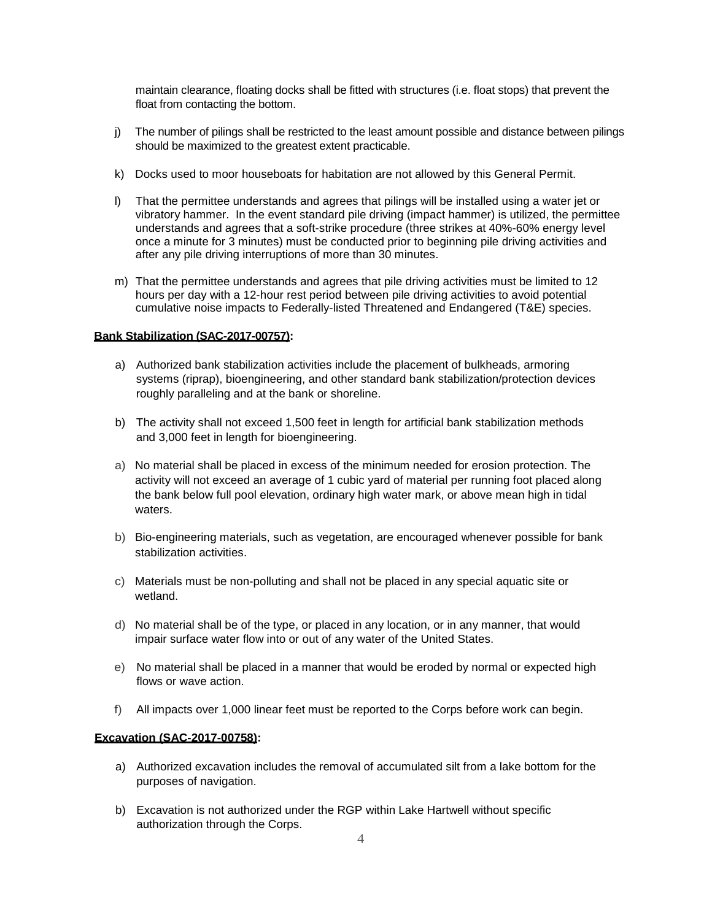maintain clearance, floating docks shall be fitted with structures (i.e. float stops) that prevent the float from contacting the bottom.

- j) The number of pilings shall be restricted to the least amount possible and distance between pilings should be maximized to the greatest extent practicable.
- k) Docks used to moor houseboats for habitation are not allowed by this General Permit.
- l) That the permittee understands and agrees that pilings will be installed using a water jet or vibratory hammer. In the event standard pile driving (impact hammer) is utilized, the permittee understands and agrees that a soft-strike procedure (three strikes at 40%-60% energy level once a minute for 3 minutes) must be conducted prior to beginning pile driving activities and after any pile driving interruptions of more than 30 minutes.
- m) That the permittee understands and agrees that pile driving activities must be limited to 12 hours per day with a 12-hour rest period between pile driving activities to avoid potential cumulative noise impacts to Federally-listed Threatened and Endangered (T&E) species.

#### **Bank Stabilization (SAC-2017-00757):**

- a) Authorized bank stabilization activities include the placement of bulkheads, armoring systems (riprap), bioengineering, and other standard bank stabilization/protection devices roughly paralleling and at the bank or shoreline.
- b) The activity shall not exceed 1,500 feet in length for artificial bank stabilization methods and 3,000 feet in length for bioengineering.
- a) No material shall be placed in excess of the minimum needed for erosion protection. The activity will not exceed an average of 1 cubic yard of material per running foot placed along the bank below full pool elevation, ordinary high water mark, or above mean high in tidal waters.
- b) Bio-engineering materials, such as vegetation, are encouraged whenever possible for bank stabilization activities.
- c) Materials must be non-polluting and shall not be placed in any special aquatic site or wetland.
- d) No material shall be of the type, or placed in any location, or in any manner, that would impair surface water flow into or out of any water of the United States.
- e) No material shall be placed in a manner that would be eroded by normal or expected high flows or wave action.
- f) All impacts over 1,000 linear feet must be reported to the Corps before work can begin.

#### **Excavation (SAC-2017-00758):**

- a) Authorized excavation includes the removal of accumulated silt from a lake bottom for the purposes of navigation.
- b) Excavation is not authorized under the RGP within Lake Hartwell without specific authorization through the Corps.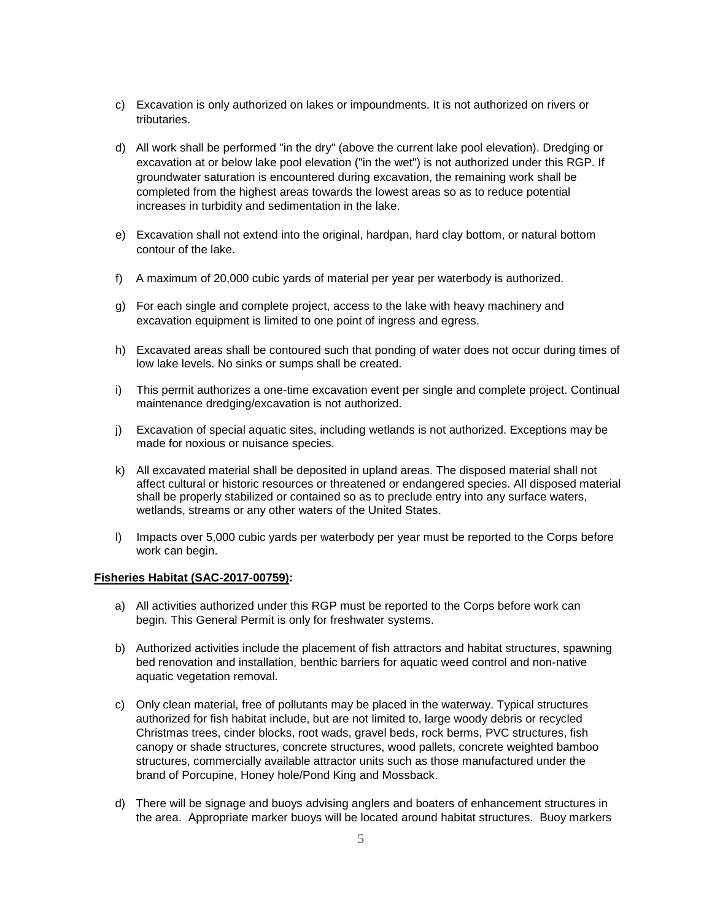- c) Excavation is only authorized on lakes or impoundments. It is not authorized on rivers or tributaries.
- d) All work shall be performed "in the dry" (above the current lake pool elevation). Dredging or excavation at or below lake pool elevation ("in the wet") is not authorized under this RGP. If groundwater saturation is encountered during excavation, the remaining work shall be completed from the highest areas towards the lowest areas so as to reduce potential increases in turbidity and sedimentation in the lake.
- e) Excavation shall not extend into the original, hardpan, hard clay bottom, or natural bottom contour of the lake.
- f) A maximum of 20,000 cubic yards of material per year per waterbody is authorized.
- g) For each single and complete project, access to the lake with heavy machinery and excavation equipment is limited to one point of ingress and egress.
- h) Excavated areas shall be contoured such that ponding of water does not occur during times of low lake levels. No sinks or sumps shall be created.
- i) This permit authorizes a one-time excavation event per single and complete project. Continual maintenance dredging/excavation is not authorized.
- j) Excavation of special aquatic sites, including wetlands is not authorized. Exceptions may be made for noxious or nuisance species.
- k) All excavated material shall be deposited in upland areas. The disposed material shall not affect cultural or historic resources or threatened or endangered species. All disposed material shall be properly stabilized or contained so as to preclude entry into any surface waters, wetlands, streams or any other waters of the United States.
- l) Impacts over 5,000 cubic yards per waterbody per year must be reported to the Corps before work can begin.

#### **Fisheries Habitat (SAC-2017-00759):**

- a) All activities authorized under this RGP must be reported to the Corps before work can begin. This General Permit is only for freshwater systems.
- b) Authorized activities include the placement of fish attractors and habitat structures, spawning bed renovation and installation, benthic barriers for aquatic weed control and non-native aquatic vegetation removal.
- c) Only clean material, free of pollutants may be placed in the waterway. Typical structures authorized for fish habitat include, but are not limited to, large woody debris or recycled Christmas trees, cinder blocks, root wads, gravel beds, rock berms, PVC structures, fish canopy or shade structures, concrete structures, wood pallets, concrete weighted bamboo structures, commercially available attractor units such as those manufactured under the brand of Porcupine, Honey hole/Pond King and Mossback.
- d) There will be signage and buoys advising anglers and boaters of enhancement structures in the area. Appropriate marker buoys will be located around habitat structures. Buoy markers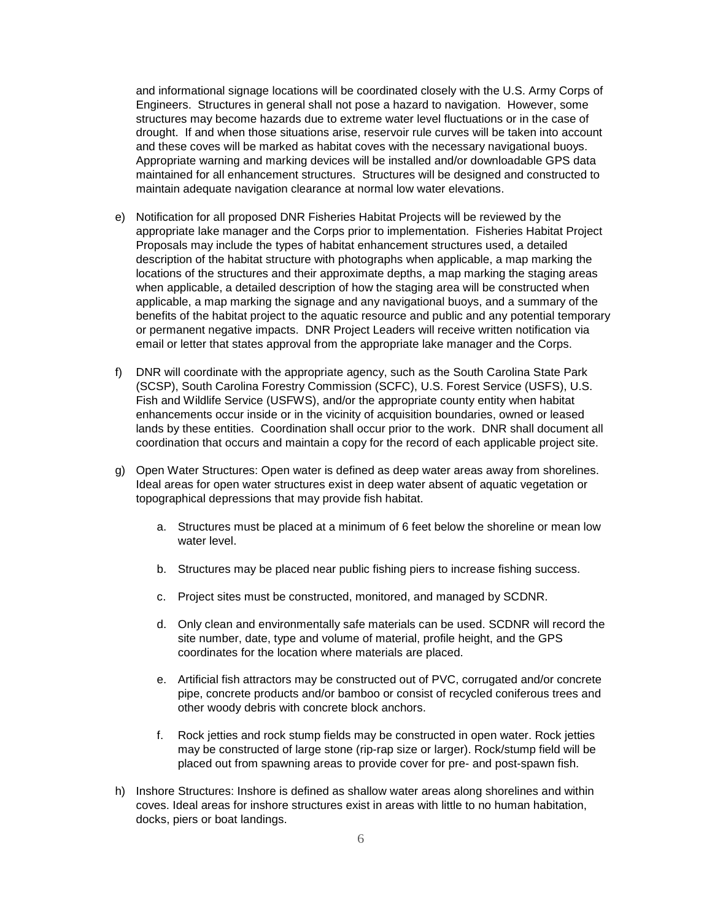and informational signage locations will be coordinated closely with the U.S. Army Corps of Engineers. Structures in general shall not pose a hazard to navigation. However, some structures may become hazards due to extreme water level fluctuations or in the case of drought. If and when those situations arise, reservoir rule curves will be taken into account and these coves will be marked as habitat coves with the necessary navigational buoys. Appropriate warning and marking devices will be installed and/or downloadable GPS data maintained for all enhancement structures. Structures will be designed and constructed to maintain adequate navigation clearance at normal low water elevations.

- e) Notification for all proposed DNR Fisheries Habitat Projects will be reviewed by the appropriate lake manager and the Corps prior to implementation. Fisheries Habitat Project Proposals may include the types of habitat enhancement structures used, a detailed description of the habitat structure with photographs when applicable, a map marking the locations of the structures and their approximate depths, a map marking the staging areas when applicable, a detailed description of how the staging area will be constructed when applicable, a map marking the signage and any navigational buoys, and a summary of the benefits of the habitat project to the aquatic resource and public and any potential temporary or permanent negative impacts. DNR Project Leaders will receive written notification via email or letter that states approval from the appropriate lake manager and the Corps.
- f) DNR will coordinate with the appropriate agency, such as the South Carolina State Park (SCSP), South Carolina Forestry Commission (SCFC), U.S. Forest Service (USFS), U.S. Fish and Wildlife Service (USFWS), and/or the appropriate county entity when habitat enhancements occur inside or in the vicinity of acquisition boundaries, owned or leased lands by these entities. Coordination shall occur prior to the work. DNR shall document all coordination that occurs and maintain a copy for the record of each applicable project site.
- g) Open Water Structures: Open water is defined as deep water areas away from shorelines. Ideal areas for open water structures exist in deep water absent of aquatic vegetation or topographical depressions that may provide fish habitat.
	- a. Structures must be placed at a minimum of 6 feet below the shoreline or mean low water level.
	- b. Structures may be placed near public fishing piers to increase fishing success.
	- c. Project sites must be constructed, monitored, and managed by SCDNR.
	- d. Only clean and environmentally safe materials can be used. SCDNR will record the site number, date, type and volume of material, profile height, and the GPS coordinates for the location where materials are placed.
	- e. Artificial fish attractors may be constructed out of PVC, corrugated and/or concrete pipe, concrete products and/or bamboo or consist of recycled coniferous trees and other woody debris with concrete block anchors.
	- f. Rock jetties and rock stump fields may be constructed in open water. Rock jetties may be constructed of large stone (rip-rap size or larger). Rock/stump field will be placed out from spawning areas to provide cover for pre- and post-spawn fish.
- h) Inshore Structures: Inshore is defined as shallow water areas along shorelines and within coves. Ideal areas for inshore structures exist in areas with little to no human habitation, docks, piers or boat landings.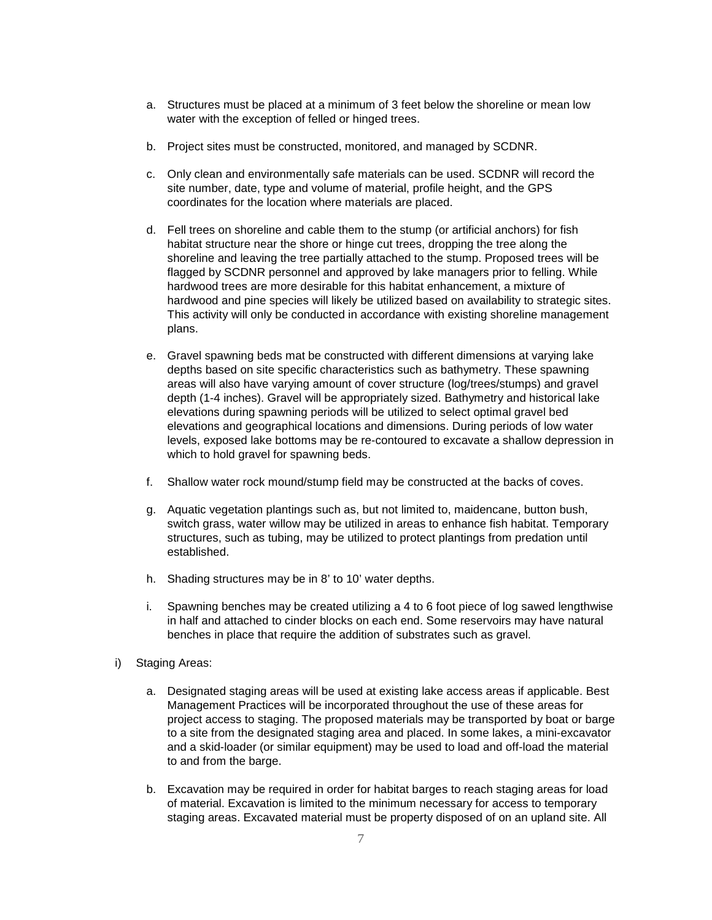- a. Structures must be placed at a minimum of 3 feet below the shoreline or mean low water with the exception of felled or hinged trees.
- b. Project sites must be constructed, monitored, and managed by SCDNR.
- c. Only clean and environmentally safe materials can be used. SCDNR will record the site number, date, type and volume of material, profile height, and the GPS coordinates for the location where materials are placed.
- d. Fell trees on shoreline and cable them to the stump (or artificial anchors) for fish habitat structure near the shore or hinge cut trees, dropping the tree along the shoreline and leaving the tree partially attached to the stump. Proposed trees will be flagged by SCDNR personnel and approved by lake managers prior to felling. While hardwood trees are more desirable for this habitat enhancement, a mixture of hardwood and pine species will likely be utilized based on availability to strategic sites. This activity will only be conducted in accordance with existing shoreline management plans.
- e. Gravel spawning beds mat be constructed with different dimensions at varying lake depths based on site specific characteristics such as bathymetry. These spawning areas will also have varying amount of cover structure (log/trees/stumps) and gravel depth (1-4 inches). Gravel will be appropriately sized. Bathymetry and historical lake elevations during spawning periods will be utilized to select optimal gravel bed elevations and geographical locations and dimensions. During periods of low water levels, exposed lake bottoms may be re-contoured to excavate a shallow depression in which to hold gravel for spawning beds.
- f. Shallow water rock mound/stump field may be constructed at the backs of coves.
- g. Aquatic vegetation plantings such as, but not limited to, maidencane, button bush, switch grass, water willow may be utilized in areas to enhance fish habitat. Temporary structures, such as tubing, may be utilized to protect plantings from predation until established.
- h. Shading structures may be in 8' to 10' water depths.
- i. Spawning benches may be created utilizing a 4 to 6 foot piece of log sawed lengthwise in half and attached to cinder blocks on each end. Some reservoirs may have natural benches in place that require the addition of substrates such as gravel.
- i) Staging Areas:
	- a. Designated staging areas will be used at existing lake access areas if applicable. Best Management Practices will be incorporated throughout the use of these areas for project access to staging. The proposed materials may be transported by boat or barge to a site from the designated staging area and placed. In some lakes, a mini-excavator and a skid-loader (or similar equipment) may be used to load and off-load the material to and from the barge.
	- b. Excavation may be required in order for habitat barges to reach staging areas for load of material. Excavation is limited to the minimum necessary for access to temporary staging areas. Excavated material must be property disposed of on an upland site. All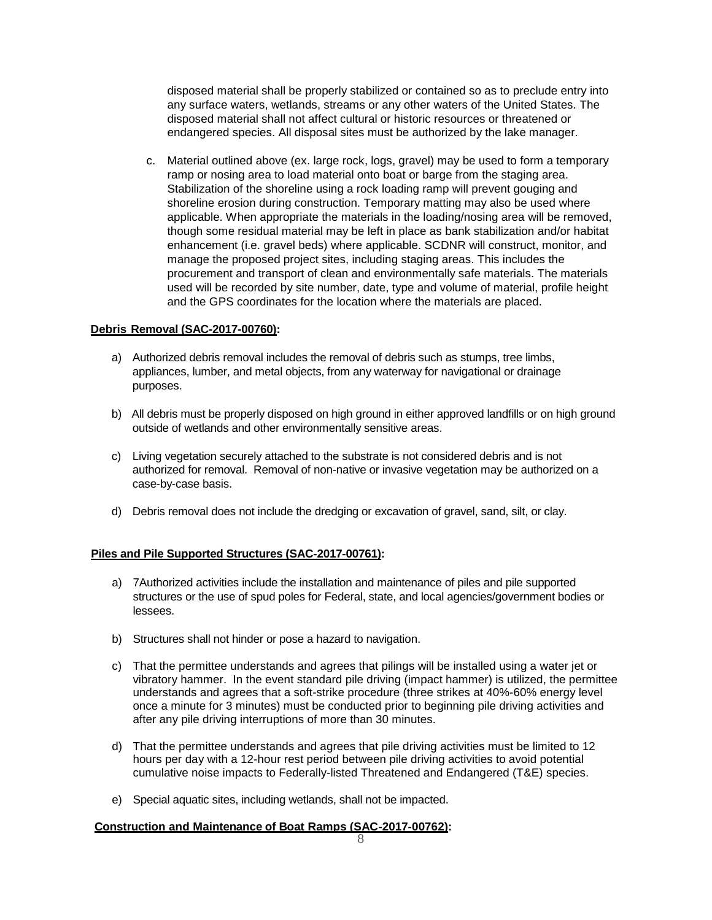disposed material shall be properly stabilized or contained so as to preclude entry into any surface waters, wetlands, streams or any other waters of the United States. The disposed material shall not affect cultural or historic resources or threatened or endangered species. All disposal sites must be authorized by the lake manager.

c. Material outlined above (ex. large rock, logs, gravel) may be used to form a temporary ramp or nosing area to load material onto boat or barge from the staging area. Stabilization of the shoreline using a rock loading ramp will prevent gouging and shoreline erosion during construction. Temporary matting may also be used where applicable. When appropriate the materials in the loading/nosing area will be removed, though some residual material may be left in place as bank stabilization and/or habitat enhancement (i.e. gravel beds) where applicable. SCDNR will construct, monitor, and manage the proposed project sites, including staging areas. This includes the procurement and transport of clean and environmentally safe materials. The materials used will be recorded by site number, date, type and volume of material, profile height and the GPS coordinates for the location where the materials are placed.

## **Debris Removal (SAC-2017-00760):**

- a) Authorized debris removal includes the removal of debris such as stumps, tree limbs, appliances, lumber, and metal objects, from any waterway for navigational or drainage purposes.
- b) All debris must be properly disposed on high ground in either approved landfills or on high ground outside of wetlands and other environmentally sensitive areas.
- c) Living vegetation securely attached to the substrate is not considered debris and is not authorized for removal. Removal of non-native or invasive vegetation may be authorized on a case-by-case basis.
- d) Debris removal does not include the dredging or excavation of gravel, sand, silt, or clay.

# **Piles and Pile Supported Structures (SAC-2017-00761):**

- a) 7Authorized activities include the installation and maintenance of piles and pile supported structures or the use of spud poles for Federal, state, and local agencies/government bodies or lessees.
- b) Structures shall not hinder or pose a hazard to navigation.
- c) That the permittee understands and agrees that pilings will be installed using a water jet or vibratory hammer. In the event standard pile driving (impact hammer) is utilized, the permittee understands and agrees that a soft-strike procedure (three strikes at 40%-60% energy level once a minute for 3 minutes) must be conducted prior to beginning pile driving activities and after any pile driving interruptions of more than 30 minutes.
- d) That the permittee understands and agrees that pile driving activities must be limited to 12 hours per day with a 12-hour rest period between pile driving activities to avoid potential cumulative noise impacts to Federally-listed Threatened and Endangered (T&E) species.
- e) Special aquatic sites, including wetlands, shall not be impacted.

## **Construction and Maintenance of Boat Ramps (SAC-2017-00762):**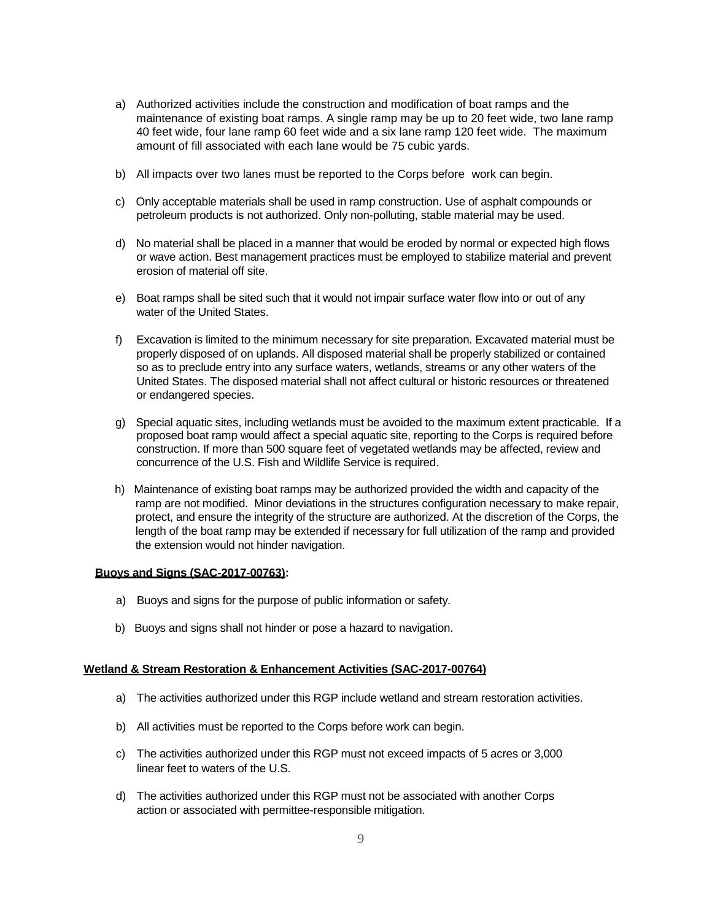- a) Authorized activities include the construction and modification of boat ramps and the maintenance of existing boat ramps. A single ramp may be up to 20 feet wide, two lane ramp 40 feet wide, four lane ramp 60 feet wide and a six lane ramp 120 feet wide. The maximum amount of fill associated with each lane would be 75 cubic yards.
- b) All impacts over two lanes must be reported to the Corps before work can begin.
- c) Only acceptable materials shall be used in ramp construction. Use of asphalt compounds or petroleum products is not authorized. Only non-polluting, stable material may be used.
- d) No material shall be placed in a manner that would be eroded by normal or expected high flows or wave action. Best management practices must be employed to stabilize material and prevent erosion of material off site.
- e) Boat ramps shall be sited such that it would not impair surface water flow into or out of any water of the United States.
- f) Excavation is limited to the minimum necessary for site preparation. Excavated material must be properly disposed of on uplands. All disposed material shall be properly stabilized or contained so as to preclude entry into any surface waters, wetlands, streams or any other waters of the United States. The disposed material shall not affect cultural or historic resources or threatened or endangered species.
- g) Special aquatic sites, including wetlands must be avoided to the maximum extent practicable. If a proposed boat ramp would affect a special aquatic site, reporting to the Corps is required before construction. If more than 500 square feet of vegetated wetlands may be affected, review and concurrence of the U.S. Fish and Wildlife Service is required.
- h) Maintenance of existing boat ramps may be authorized provided the width and capacity of the ramp are not modified. Minor deviations in the structures configuration necessary to make repair, protect, and ensure the integrity of the structure are authorized. At the discretion of the Corps, the length of the boat ramp may be extended if necessary for full utilization of the ramp and provided the extension would not hinder navigation.

## **Buoys and Signs (SAC-2017-00763):**

- a) Buoys and signs for the purpose of public information or safety.
- b) Buoys and signs shall not hinder or pose a hazard to navigation.

## **Wetland & Stream Restoration & Enhancement Activities (SAC-2017-00764)**

- a) The activities authorized under this RGP include wetland and stream restoration activities.
- b) All activities must be reported to the Corps before work can begin.
- c) The activities authorized under this RGP must not exceed impacts of 5 acres or 3,000 linear feet to waters of the U.S.
- d) The activities authorized under this RGP must not be associated with another Corps action or associated with permittee-responsible mitigation.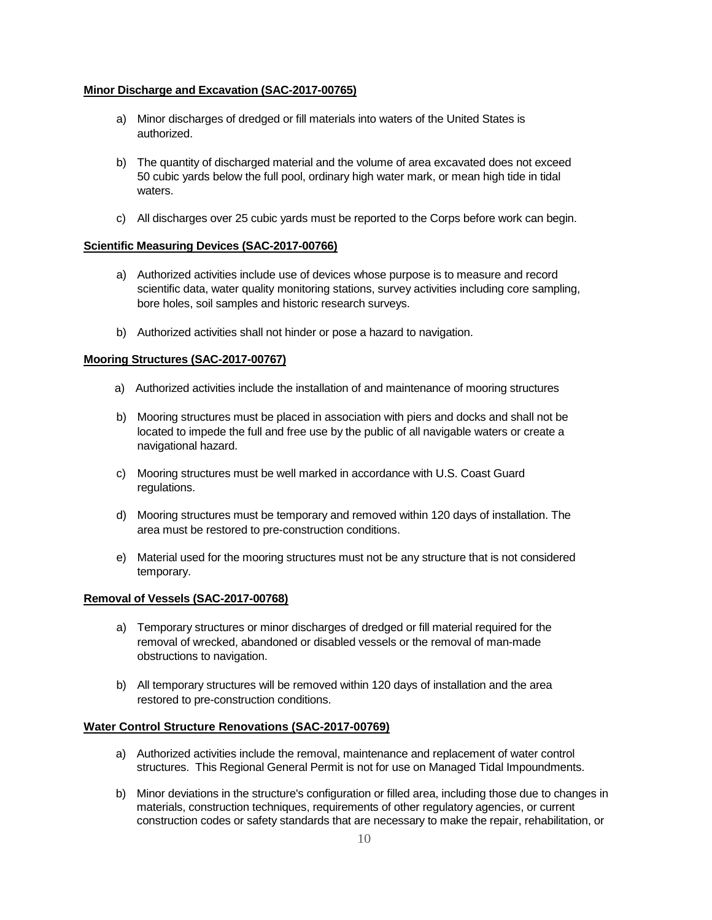## **Minor Discharge and Excavation (SAC-2017-00765)**

- a) Minor discharges of dredged or fill materials into waters of the United States is authorized.
- b) The quantity of discharged material and the volume of area excavated does not exceed 50 cubic yards below the full pool, ordinary high water mark, or mean high tide in tidal waters.
- c) All discharges over 25 cubic yards must be reported to the Corps before work can begin.

### **Scientific Measuring Devices (SAC-2017-00766)**

- a) Authorized activities include use of devices whose purpose is to measure and record scientific data, water quality monitoring stations, survey activities including core sampling, bore holes, soil samples and historic research surveys.
- b) Authorized activities shall not hinder or pose a hazard to navigation.

#### **Mooring Structures (SAC-2017-00767)**

- a) Authorized activities include the installation of and maintenance of mooring structures
- b) Mooring structures must be placed in association with piers and docks and shall not be located to impede the full and free use by the public of all navigable waters or create a navigational hazard.
- c) Mooring structures must be well marked in accordance with U.S. Coast Guard regulations.
- d) Mooring structures must be temporary and removed within 120 days of installation. The area must be restored to pre-construction conditions.
- e) Material used for the mooring structures must not be any structure that is not considered temporary.

#### **Removal of Vessels (SAC-2017-00768)**

- a) Temporary structures or minor discharges of dredged or fill material required for the removal of wrecked, abandoned or disabled vessels or the removal of man-made obstructions to navigation.
- b) All temporary structures will be removed within 120 days of installation and the area restored to pre-construction conditions.

#### **Water Control Structure Renovations (SAC-2017-00769)**

- a) Authorized activities include the removal, maintenance and replacement of water control structures. This Regional General Permit is not for use on Managed Tidal Impoundments.
- b) Minor deviations in the structure's configuration or filled area, including those due to changes in materials, construction techniques, requirements of other regulatory agencies, or current construction codes or safety standards that are necessary to make the repair, rehabilitation, or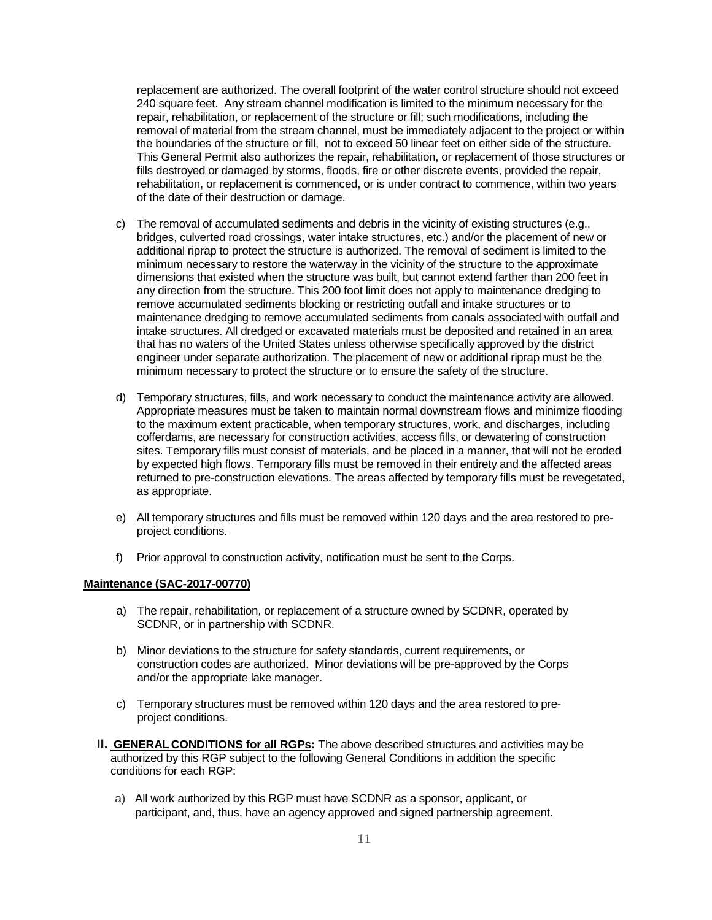replacement are authorized. The overall footprint of the water control structure should not exceed 240 square feet. Any stream channel modification is limited to the minimum necessary for the repair, rehabilitation, or replacement of the structure or fill; such modifications, including the removal of material from the stream channel, must be immediately adjacent to the project or within the boundaries of the structure or fill, not to exceed 50 linear feet on either side of the structure. This General Permit also authorizes the repair, rehabilitation, or replacement of those structures or fills destroyed or damaged by storms, floods, fire or other discrete events, provided the repair, rehabilitation, or replacement is commenced, or is under contract to commence, within two years of the date of their destruction or damage.

- c) The removal of accumulated sediments and debris in the vicinity of existing structures (e.g., bridges, culverted road crossings, water intake structures, etc.) and/or the placement of new or additional riprap to protect the structure is authorized. The removal of sediment is limited to the minimum necessary to restore the waterway in the vicinity of the structure to the approximate dimensions that existed when the structure was built, but cannot extend farther than 200 feet in any direction from the structure. This 200 foot limit does not apply to maintenance dredging to remove accumulated sediments blocking or restricting outfall and intake structures or to maintenance dredging to remove accumulated sediments from canals associated with outfall and intake structures. All dredged or excavated materials must be deposited and retained in an area that has no waters of the United States unless otherwise specifically approved by the district engineer under separate authorization. The placement of new or additional riprap must be the minimum necessary to protect the structure or to ensure the safety of the structure.
- d) Temporary structures, fills, and work necessary to conduct the maintenance activity are allowed. Appropriate measures must be taken to maintain normal downstream flows and minimize flooding to the maximum extent practicable, when temporary structures, work, and discharges, including cofferdams, are necessary for construction activities, access fills, or dewatering of construction sites. Temporary fills must consist of materials, and be placed in a manner, that will not be eroded by expected high flows. Temporary fills must be removed in their entirety and the affected areas returned to pre-construction elevations. The areas affected by temporary fills must be revegetated, as appropriate.
- e) All temporary structures and fills must be removed within 120 days and the area restored to preproject conditions.
- f) Prior approval to construction activity, notification must be sent to the Corps.

#### **Maintenance (SAC-2017-00770)**

- a) The repair, rehabilitation, or replacement of a structure owned by SCDNR, operated by SCDNR, or in partnership with SCDNR.
- b) Minor deviations to the structure for safety standards, current requirements, or construction codes are authorized. Minor deviations will be pre-approved by the Corps and/or the appropriate lake manager.
- c) Temporary structures must be removed within 120 days and the area restored to preproject conditions.
- **II. GENERAL CONDITIONS for all RGPs:** The above described structures and activities may be authorized by this RGP subject to the following General Conditions in addition the specific conditions for each RGP:
	- a) All work authorized by this RGP must have SCDNR as a sponsor, applicant, or participant, and, thus, have an agency approved and signed partnership agreement.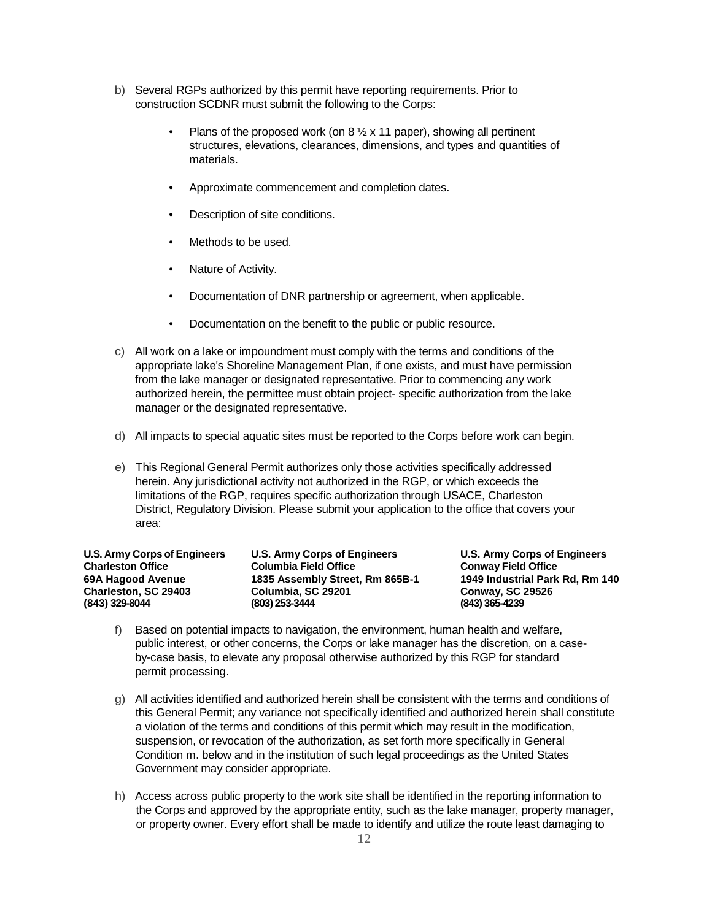- b) Several RGPs authorized by this permit have reporting requirements. Prior to construction SCDNR must submit the following to the Corps:
	- Plans of the proposed work (on  $8\frac{1}{2}$  x 11 paper), showing all pertinent structures, elevations, clearances, dimensions, and types and quantities of materials.
	- Approximate commencement and completion dates.
	- Description of site conditions.
	- Methods to be used.
	- Nature of Activity.
	- Documentation of DNR partnership or agreement, when applicable.
	- Documentation on the benefit to the public or public resource.
- c) All work on a lake or impoundment must comply with the terms and conditions of the appropriate lake's Shoreline Management Plan, if one exists, and must have permission from the lake manager or designated representative. Prior to commencing any work authorized herein, the permittee must obtain project- specific authorization from the lake manager or the designated representative.
- d) All impacts to special aquatic sites must be reported to the Corps before work can begin.
- e) This Regional General Permit authorizes only those activities specifically addressed herein. Any jurisdictional activity not authorized in the RGP, or which exceeds the limitations of the RGP, requires specific authorization through USACE, Charleston District, Regulatory Division. Please submit your application to the office that covers your area:

| U.S. Army Corps of Engineers | U.S. Army Corps of Engineers    | U.S. Army Corps of Engineers    |
|------------------------------|---------------------------------|---------------------------------|
| <b>Charleston Office</b>     | <b>Columbia Field Office</b>    | <b>Conway Field Office</b>      |
| 69A Hagood Avenue            | 1835 Assembly Street, Rm 865B-1 | 1949 Industrial Park Rd. Rm 140 |
| Charleston, SC 29403         | Columbia, SC 29201              | <b>Conway, SC 29526</b>         |
| (843) 329-8044               | (803) 253-3444                  | (843) 365-4239                  |
|                              |                                 |                                 |

- f) Based on potential impacts to navigation, the environment, human health and welfare, public interest, or other concerns, the Corps or lake manager has the discretion, on a caseby-case basis, to elevate any proposal otherwise authorized by this RGP for standard permit processing.
- g) All activities identified and authorized herein shall be consistent with the terms and conditions of this General Permit; any variance not specifically identified and authorized herein shall constitute a violation of the terms and conditions of this permit which may result in the modification, suspension, or revocation of the authorization, as set forth more specifically in General Condition m. below and in the institution of such legal proceedings as the United States Government may consider appropriate.
- h) Access across public property to the work site shall be identified in the reporting information to the Corps and approved by the appropriate entity, such as the lake manager, property manager, or property owner. Every effort shall be made to identify and utilize the route least damaging to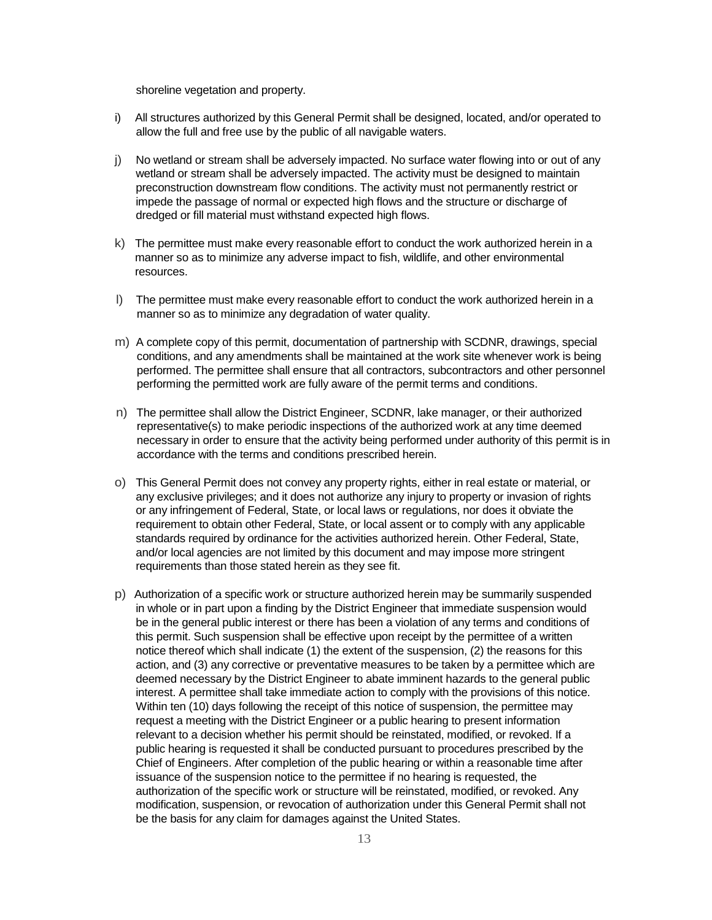shoreline vegetation and property.

- i) All structures authorized by this General Permit shall be designed, located, and/or operated to allow the full and free use by the public of all navigable waters.
- j) No wetland or stream shall be adversely impacted. No surface water flowing into or out of any wetland or stream shall be adversely impacted. The activity must be designed to maintain preconstruction downstream flow conditions. The activity must not permanently restrict or impede the passage of normal or expected high flows and the structure or discharge of dredged or fill material must withstand expected high flows.
- k) The permittee must make every reasonable effort to conduct the work authorized herein in a manner so as to minimize any adverse impact to fish, wildlife, and other environmental resources.
- l) The permittee must make every reasonable effort to conduct the work authorized herein in a manner so as to minimize any degradation of water quality.
- m) A complete copy of this permit, documentation of partnership with SCDNR, drawings, special conditions, and any amendments shall be maintained at the work site whenever work is being performed. The permittee shall ensure that all contractors, subcontractors and other personnel performing the permitted work are fully aware of the permit terms and conditions.
- n) The permittee shall allow the District Engineer, SCDNR, lake manager, or their authorized representative(s) to make periodic inspections of the authorized work at any time deemed necessary in order to ensure that the activity being performed under authority of this permit is in accordance with the terms and conditions prescribed herein.
- o) This General Permit does not convey any property rights, either in real estate or material, or any exclusive privileges; and it does not authorize any injury to property or invasion of rights or any infringement of Federal, State, or local laws or regulations, nor does it obviate the requirement to obtain other Federal, State, or local assent or to comply with any applicable standards required by ordinance for the activities authorized herein. Other Federal, State, and/or local agencies are not limited by this document and may impose more stringent requirements than those stated herein as they see fit.
- p) Authorization of a specific work or structure authorized herein may be summarily suspended in whole or in part upon a finding by the District Engineer that immediate suspension would be in the general public interest or there has been a violation of any terms and conditions of this permit. Such suspension shall be effective upon receipt by the permittee of a written notice thereof which shall indicate (1) the extent of the suspension, (2) the reasons for this action, and (3) any corrective or preventative measures to be taken by a permittee which are deemed necessary by the District Engineer to abate imminent hazards to the general public interest. A permittee shall take immediate action to comply with the provisions of this notice. Within ten (10) days following the receipt of this notice of suspension, the permittee may request a meeting with the District Engineer or a public hearing to present information relevant to a decision whether his permit should be reinstated, modified, or revoked. If a public hearing is requested it shall be conducted pursuant to procedures prescribed by the Chief of Engineers. After completion of the public hearing or within a reasonable time after issuance of the suspension notice to the permittee if no hearing is requested, the authorization of the specific work or structure will be reinstated, modified, or revoked. Any modification, suspension, or revocation of authorization under this General Permit shall not be the basis for any claim for damages against the United States.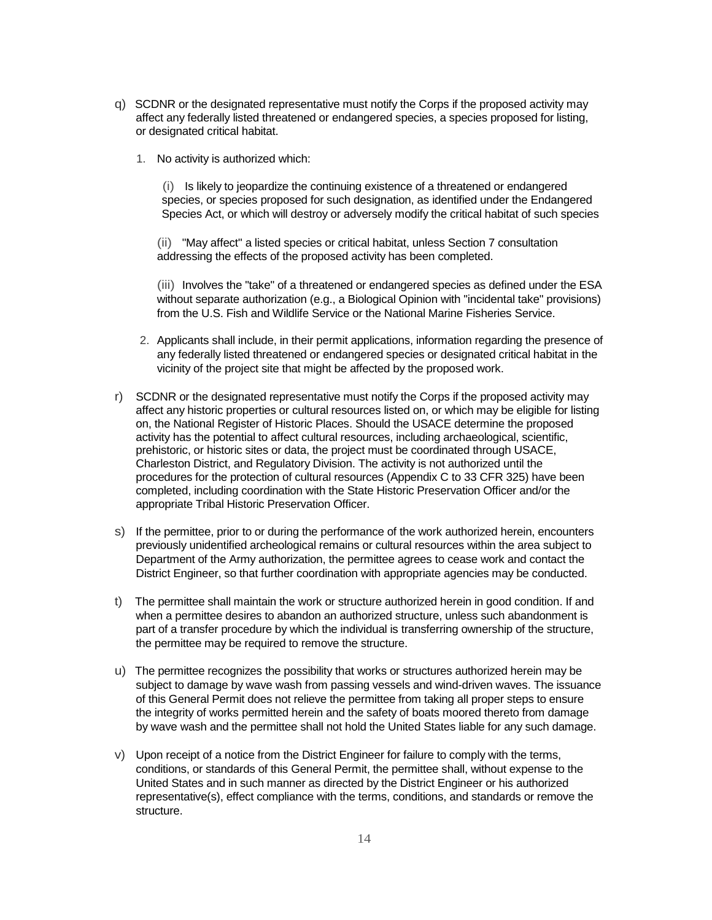- q) SCDNR or the designated representative must notify the Corps if the proposed activity may affect any federally listed threatened or endangered species, a species proposed for listing, or designated critical habitat.
	- 1. No activity is authorized which:

(i) Is likely to jeopardize the continuing existence of a threatened or endangered species, or species proposed for such designation, as identified under the Endangered Species Act, or which will destroy or adversely modify the critical habitat of such species

(ii) "May affect'' a listed species or critical habitat, unless Section 7 consultation addressing the effects of the proposed activity has been completed.

(iii) Involves the "take" of a threatened or endangered species as defined under the ESA without separate authorization (e.g., a Biological Opinion with "incidental take" provisions) from the U.S. Fish and Wildlife Service or the National Marine Fisheries Service.

- 2. Applicants shall include, in their permit applications, information regarding the presence of any federally listed threatened or endangered species or designated critical habitat in the vicinity of the project site that might be affected by the proposed work.
- r) SCDNR or the designated representative must notify the Corps if the proposed activity may affect any historic properties or cultural resources listed on, or which may be eligible for listing on, the National Register of Historic Places. Should the USACE determine the proposed activity has the potential to affect cultural resources, including archaeological, scientific, prehistoric, or historic sites or data, the project must be coordinated through USACE, Charleston District, and Regulatory Division. The activity is not authorized until the procedures for the protection of cultural resources (Appendix C to 33 CFR 325) have been completed, including coordination with the State Historic Preservation Officer and/or the appropriate Tribal Historic Preservation Officer.
- s) If the permittee, prior to or during the performance of the work authorized herein, encounters previously unidentified archeological remains or cultural resources within the area subject to Department of the Army authorization, the permittee agrees to cease work and contact the District Engineer, so that further coordination with appropriate agencies may be conducted.
- t) The permittee shall maintain the work or structure authorized herein in good condition. If and when a permittee desires to abandon an authorized structure, unless such abandonment is part of a transfer procedure by which the individual is transferring ownership of the structure, the permittee may be required to remove the structure.
- u) The permittee recognizes the possibility that works or structures authorized herein may be subject to damage by wave wash from passing vessels and wind-driven waves. The issuance of this General Permit does not relieve the permittee from taking all proper steps to ensure the integrity of works permitted herein and the safety of boats moored thereto from damage by wave wash and the permittee shall not hold the United States liable for any such damage.
- v) Upon receipt of a notice from the District Engineer for failure to comply with the terms, conditions, or standards of this General Permit, the permittee shall, without expense to the United States and in such manner as directed by the District Engineer or his authorized representative(s), effect compliance with the terms, conditions, and standards or remove the structure.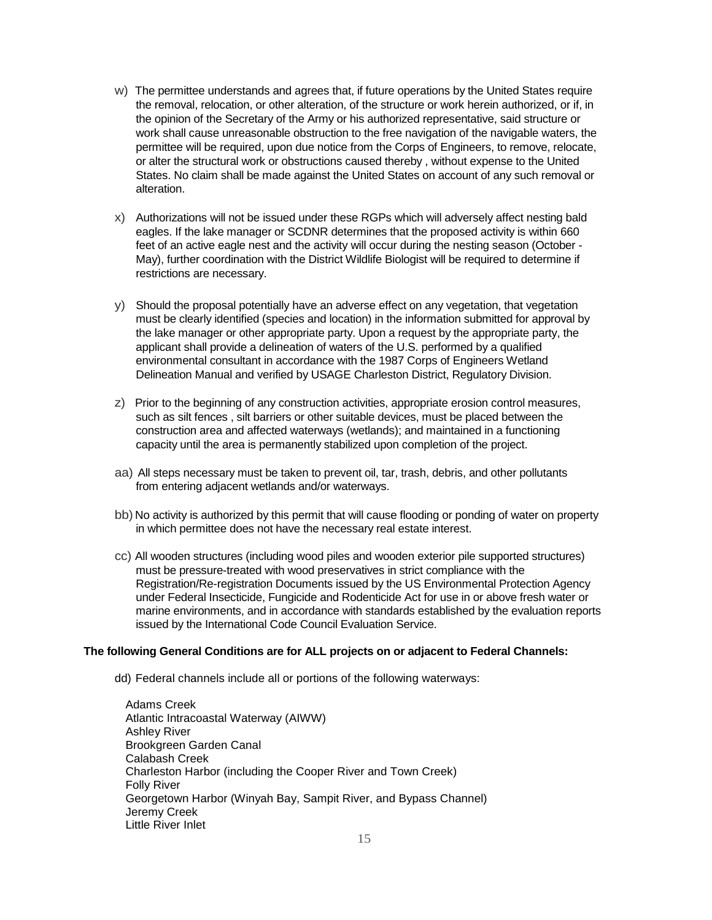- w) The permittee understands and agrees that, if future operations by the United States require the removal, relocation, or other alteration, of the structure or work herein authorized, or if, in the opinion of the Secretary of the Army or his authorized representative, said structure or work shall cause unreasonable obstruction to the free navigation of the navigable waters, the permittee will be required, upon due notice from the Corps of Engineers, to remove, relocate, or alter the structural work or obstructions caused thereby , without expense to the United States. No claim shall be made against the United States on account of any such removal or alteration.
- x) Authorizations will not be issued under these RGPs which will adversely affect nesting bald eagles. If the lake manager or SCDNR determines that the proposed activity is within 660 feet of an active eagle nest and the activity will occur during the nesting season (October - May), further coordination with the District Wildlife Biologist will be required to determine if restrictions are necessary.
- y) Should the proposal potentially have an adverse effect on any vegetation, that vegetation must be clearly identified (species and location) in the information submitted for approval by the lake manager or other appropriate party. Upon a request by the appropriate party, the applicant shall provide a delineation of waters of the U.S. performed by a qualified environmental consultant in accordance with the 1987 Corps of Engineers Wetland Delineation Manual and verified by USAGE Charleston District, Regulatory Division.
- z) Prior to the beginning of any construction activities, appropriate erosion control measures, such as silt fences , silt barriers or other suitable devices, must be placed between the construction area and affected waterways (wetlands); and maintained in a functioning capacity until the area is permanently stabilized upon completion of the project.
- aa) All steps necessary must be taken to prevent oil, tar, trash, debris, and other pollutants from entering adjacent wetlands and/or waterways.
- bb) No activity is authorized by this permit that will cause flooding or ponding of water on property in which permittee does not have the necessary real estate interest.
- cc) All wooden structures (including wood piles and wooden exterior pile supported structures) must be pressure-treated with wood preservatives in strict compliance with the Registration/Re-registration Documents issued by the US Environmental Protection Agency under Federal Insecticide, Fungicide and Rodenticide Act for use in or above fresh water or marine environments, and in accordance with standards established by the evaluation reports issued by the International Code Council Evaluation Service.

## **The following General Conditions are for ALL projects on or adjacent to Federal Channels:**

dd) Federal channels include all or portions of the following waterways:

Adams Creek Atlantic Intracoastal Waterway (AIWW) Ashley River Brookgreen Garden Canal Calabash Creek Charleston Harbor (including the Cooper River and Town Creek) Folly River Georgetown Harbor (Winyah Bay, Sampit River, and Bypass Channel) Jeremy Creek Little River Inlet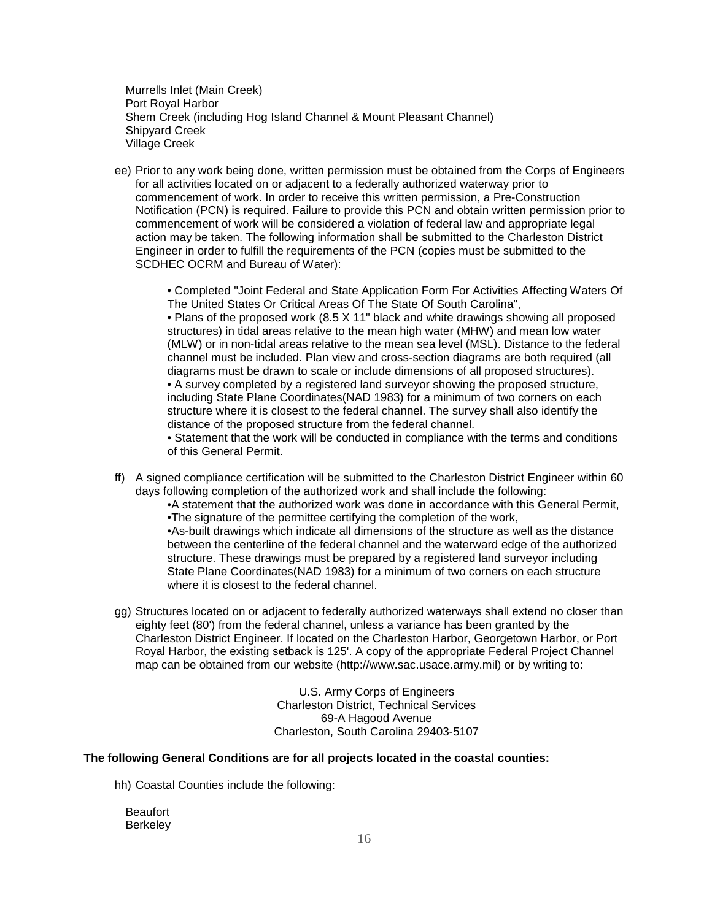Murrells Inlet (Main Creek) Port Royal Harbor Shem Creek (including Hog Island Channel & Mount Pleasant Channel) Shipyard Creek Village Creek

ee) Prior to any work being done, written permission must be obtained from the Corps of Engineers for all activities located on or adjacent to a federally authorized waterway prior to commencement of work. In order to receive this written permission, a Pre-Construction Notification (PCN) is required. Failure to provide this PCN and obtain written permission prior to commencement of work will be considered a violation of federal law and appropriate legal action may be taken. The following information shall be submitted to the Charleston District Engineer in order to fulfill the requirements of the PCN (copies must be submitted to the SCDHEC OCRM and Bureau of Water):

> • Completed "Joint Federal and State Application Form For Activities Affecting Waters Of The United States Or Critical Areas Of The State Of South Carolina",

> • Plans of the proposed work (8.5 X 11" black and white drawings showing all proposed structures) in tidal areas relative to the mean high water (MHW) and mean low water (MLW) or in non-tidal areas relative to the mean sea level (MSL). Distance to the federal channel must be included. Plan view and cross-section diagrams are both required (all diagrams must be drawn to scale or include dimensions of all proposed structures). • A survey completed by a registered land surveyor showing the proposed structure, including State Plane Coordinates(NAD 1983) for a minimum of two corners on each structure where it is closest to the federal channel. The survey shall also identify the distance of the proposed structure from the federal channel.

> • Statement that the work will be conducted in compliance with the terms and conditions of this General Permit.

ff) A signed compliance certification will be submitted to the Charleston District Engineer within 60 days following completion of the authorized work and shall include the following:

•A statement that the authorized work was done in accordance with this General Permit, •The signature of the permittee certifying the completion of the work,

•As-built drawings which indicate all dimensions of the structure as well as the distance between the centerline of the federal channel and the waterward edge of the authorized structure. These drawings must be prepared by a registered land surveyor including State Plane Coordinates(NAD 1983) for a minimum of two corners on each structure where it is closest to the federal channel.

gg) Structures located on or adjacent to federally authorized waterways shall extend no closer than eighty feet (80') from the federal channel, unless a variance has been granted by the Charleston District Engineer. If located on the Charleston Harbor, Georgetown Harbor, or Port Royal Harbor, the existing setback is 125'. A copy of the appropriate Federal Project Channel map can be obtained from our website (http://www.sac.usace.army.mil) or by writing to:

> U.S. Army Corps of Engineers Charleston District, Technical Services 69-A Hagood Avenue Charleston, South Carolina 29403-5107

## **The following General Conditions are for all projects located in the coastal counties:**

hh) Coastal Counties include the following:

Beaufort **Berkeley**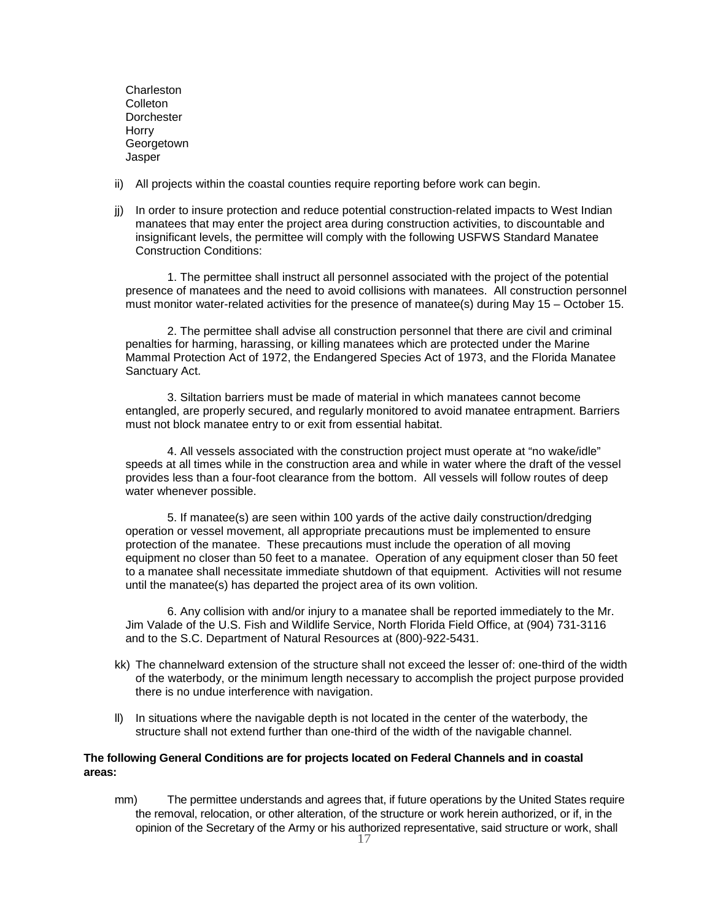Charleston **Colleton Dorchester Horry** Georgetown Jasper

ii) All projects within the coastal counties require reporting before work can begin.

jj) In order to insure protection and reduce potential construction-related impacts to West Indian manatees that may enter the project area during construction activities, to discountable and insignificant levels, the permittee will comply with the following USFWS Standard Manatee Construction Conditions:

1. The permittee shall instruct all personnel associated with the project of the potential presence of manatees and the need to avoid collisions with manatees. All construction personnel must monitor water-related activities for the presence of manatee(s) during May 15 – October 15.

2. The permittee shall advise all construction personnel that there are civil and criminal penalties for harming, harassing, or killing manatees which are protected under the Marine Mammal Protection Act of 1972, the Endangered Species Act of 1973, and the Florida Manatee Sanctuary Act.

3. Siltation barriers must be made of material in which manatees cannot become entangled, are properly secured, and regularly monitored to avoid manatee entrapment. Barriers must not block manatee entry to or exit from essential habitat.

4. All vessels associated with the construction project must operate at "no wake/idle" speeds at all times while in the construction area and while in water where the draft of the vessel provides less than a four-foot clearance from the bottom. All vessels will follow routes of deep water whenever possible.

5. If manatee(s) are seen within 100 yards of the active daily construction/dredging operation or vessel movement, all appropriate precautions must be implemented to ensure protection of the manatee. These precautions must include the operation of all moving equipment no closer than 50 feet to a manatee. Operation of any equipment closer than 50 feet to a manatee shall necessitate immediate shutdown of that equipment. Activities will not resume until the manatee(s) has departed the project area of its own volition.

6. Any collision with and/or injury to a manatee shall be reported immediately to the Mr. Jim Valade of the U.S. Fish and Wildlife Service, North Florida Field Office, at (904) 731-3116 and to the S.C. Department of Natural Resources at (800)-922-5431.

- kk) The channelward extension of the structure shall not exceed the lesser of: one-third of the width of the waterbody, or the minimum length necessary to accomplish the project purpose provided there is no undue interference with navigation.
- ll) In situations where the navigable depth is not located in the center of the waterbody, the structure shall not extend further than one-third of the width of the navigable channel.

## **The following General Conditions are for projects located on Federal Channels and in coastal areas:**

mm) The permittee understands and agrees that, if future operations by the United States require the removal, relocation, or other alteration, of the structure or work herein authorized, or if, in the opinion of the Secretary of the Army or his authorized representative, said structure or work, shall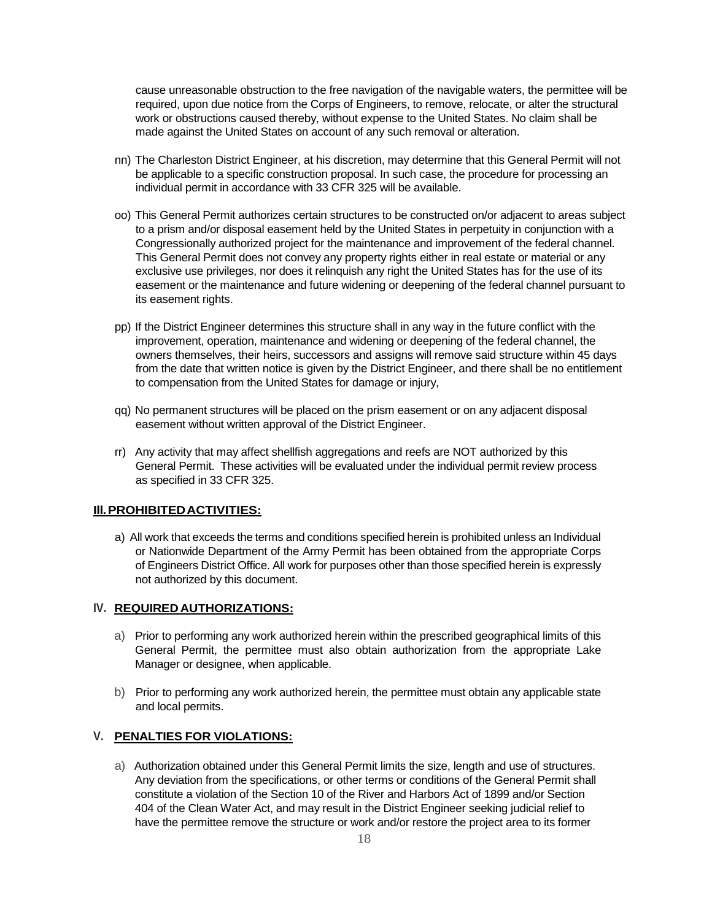cause unreasonable obstruction to the free navigation of the navigable waters, the permittee will be required, upon due notice from the Corps of Engineers, to remove, relocate, or alter the structural work or obstructions caused thereby, without expense to the United States. No claim shall be made against the United States on account of any such removal or alteration.

- nn) The Charleston District Engineer, at his discretion, may determine that this General Permit will not be applicable to a specific construction proposal. In such case, the procedure for processing an individual permit in accordance with 33 CFR 325 will be available.
- oo) This General Permit authorizes certain structures to be constructed on/or adjacent to areas subject to a prism and/or disposal easement held by the United States in perpetuity in conjunction with a Congressionally authorized project for the maintenance and improvement of the federal channel. This General Permit does not convey any property rights either in real estate or material or any exclusive use privileges, nor does it relinquish any right the United States has for the use of its easement or the maintenance and future widening or deepening of the federal channel pursuant to its easement rights.
- pp) If the District Engineer determines this structure shall in any way in the future conflict with the improvement, operation, maintenance and widening or deepening of the federal channel, the owners themselves, their heirs, successors and assigns will remove said structure within 45 days from the date that written notice is given by the District Engineer, and there shall be no entitlement to compensation from the United States for damage or injury,
- qq) No permanent structures will be placed on the prism easement or on any adjacent disposal easement without written approval of the District Engineer.
- rr) Any activity that may affect shellfish aggregations and reefs are NOT authorized by this General Permit. These activities will be evaluated under the individual permit review process as specified in 33 CFR 325.

## **Ill.PROHIBITEDACTIVITIES:**

a) All work that exceeds the terms and conditions specified herein is prohibited unless an Individual or Nationwide Department of the Army Permit has been obtained from the appropriate Corps of Engineers District Office. All work for purposes other than those specified herein is expressly not authorized by this document.

## **IV. REQUIRED AUTHORIZATIONS:**

- a) Prior to performing any work authorized herein within the prescribed geographical limits of this General Permit, the permittee must also obtain authorization from the appropriate Lake Manager or designee, when applicable.
- b) Prior to performing any work authorized herein, the permittee must obtain any applicable state and local permits.

# **V. PENALTIES FOR VIOLATIONS:**

a) Authorization obtained under this General Permit limits the size, length and use of structures. Any deviation from the specifications, or other terms or conditions of the General Permit shall constitute a violation of the Section 10 of the River and Harbors Act of 1899 and/or Section 404 of the Clean Water Act, and may result in the District Engineer seeking judicial relief to have the permittee remove the structure or work and/or restore the project area to its former